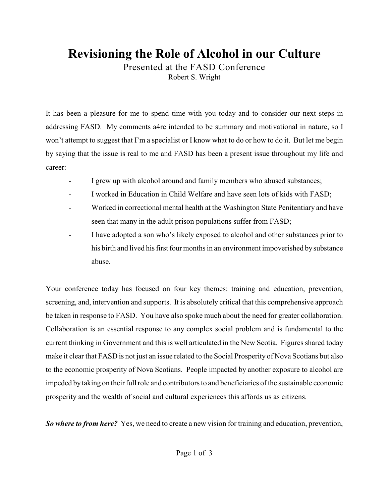## **Revisioning the Role of Alcohol in our Culture**

Presented at the FASD Conference Robert S. Wright

It has been a pleasure for me to spend time with you today and to consider our next steps in addressing FASD. My comments a4re intended to be summary and motivational in nature, so I won't attempt to suggest that I'm a specialist or I know what to do or how to do it. But let me begin by saying that the issue is real to me and FASD has been a present issue throughout my life and career:

- I grew up with alcohol around and family members who abused substances;
- I worked in Education in Child Welfare and have seen lots of kids with FASD;
- Worked in correctional mental health at the Washington State Penitentiary and have seen that many in the adult prison populations suffer from FASD;
- I have adopted a son who's likely exposed to alcohol and other substances prior to his birth and lived his first four months in an environment impoverished by substance abuse.

Your conference today has focused on four key themes: training and education, prevention, screening, and, intervention and supports. It is absolutely critical that this comprehensive approach be taken in response to FASD. You have also spoke much about the need for greater collaboration. Collaboration is an essential response to any complex social problem and is fundamental to the current thinking in Government and this is well articulated in the New Scotia. Figures shared today make it clear that FASD is not just an issue related to the Social Prosperity of Nova Scotians but also to the economic prosperity of Nova Scotians. People impacted by another exposure to alcohol are impeded by taking on their full role and contributors to and beneficiaries of the sustainable economic prosperity and the wealth of social and cultural experiences this affords us as citizens.

*So where to from here?* Yes, we need to create a new vision for training and education, prevention,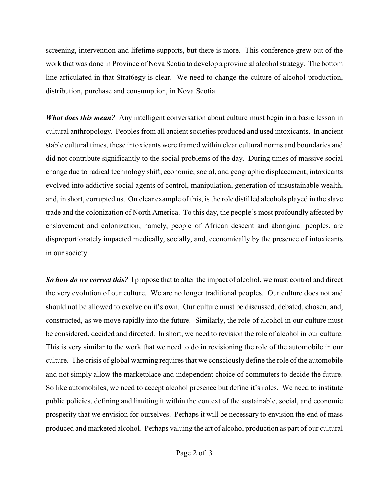screening, intervention and lifetime supports, but there is more. This conference grew out of the work that was done in Province of Nova Scotia to develop a provincial alcohol strategy. The bottom line articulated in that Strat6egy is clear. We need to change the culture of alcohol production, distribution, purchase and consumption, in Nova Scotia.

*What does this mean?* Any intelligent conversation about culture must begin in a basic lesson in cultural anthropology. Peoples from all ancient societies produced and used intoxicants. In ancient stable cultural times, these intoxicants were framed within clear cultural norms and boundaries and did not contribute significantly to the social problems of the day. During times of massive social change due to radical technology shift, economic, social, and geographic displacement, intoxicants evolved into addictive social agents of control, manipulation, generation of unsustainable wealth, and, in short, corrupted us. On clear example of this, is the role distilled alcohols played in the slave trade and the colonization of North America. To this day, the people's most profoundly affected by enslavement and colonization, namely, people of African descent and aboriginal peoples, are disproportionately impacted medically, socially, and, economically by the presence of intoxicants in our society.

*So how do we correct this?* I propose that to alter the impact of alcohol, we must control and direct the very evolution of our culture. We are no longer traditional peoples. Our culture does not and should not be allowed to evolve on it's own. Our culture must be discussed, debated, chosen, and, constructed, as we move rapidly into the future. Similarly, the role of alcohol in our culture must be considered, decided and directed. In short, we need to revision the role of alcohol in our culture. This is very similar to the work that we need to do in revisioning the role of the automobile in our culture. The crisis of global warming requires that we consciously define the role of the automobile and not simply allow the marketplace and independent choice of commuters to decide the future. So like automobiles, we need to accept alcohol presence but define it's roles. We need to institute public policies, defining and limiting it within the context of the sustainable, social, and economic prosperity that we envision for ourselves. Perhaps it will be necessary to envision the end of mass produced and marketed alcohol. Perhaps valuing the art of alcohol production as part of our cultural